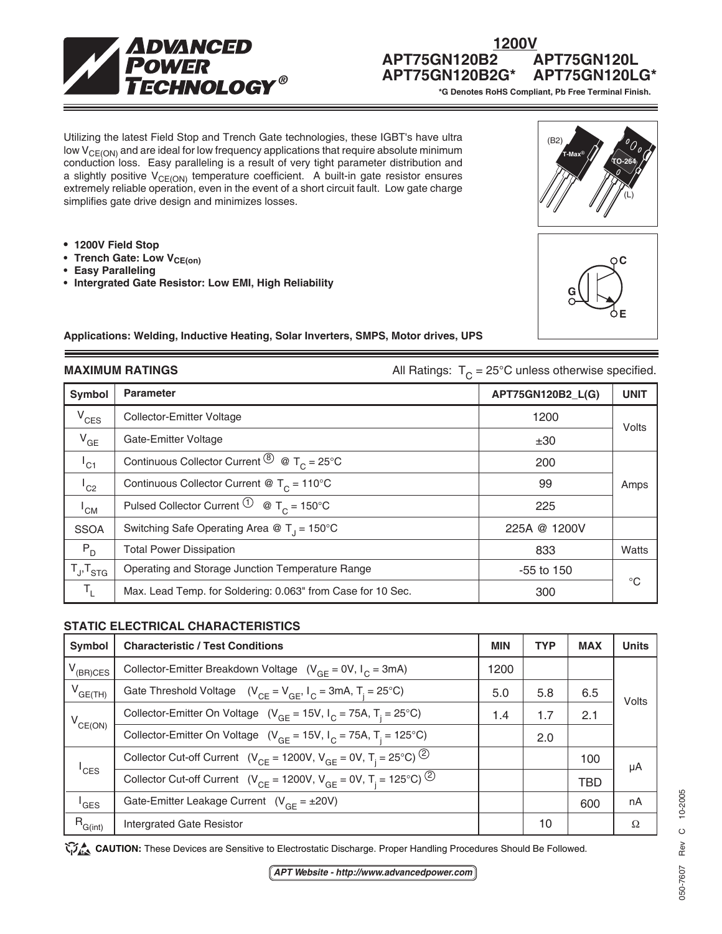

# **1200V APT75GN120B2 APT75GN120L**

\*G Denotes RoHS Compliant, Pb Free Terminal Finish.

Utilizing the latest Field Stop and Trench Gate technologies, these IGBT's have ultra low  $V_{CE(ON)}$  and are ideal for low frequency applications that require absolute minimum conduction loss. Easy paralleling is a result of very tight parameter distribution and a slightly positive  $V_{CE(ON)}$  temperature coefficient. A built-in gate resistor ensures extremely reliable operation, even in the event of a short circuit fault. Low gate charge simplifies gate drive design and minimizes losses.

- **1200V Field Stop**
- **Trench Gate: Low V<sub>CE(on)</sub>**
- **Easy Paralleling**
- **Intergrated Gate Resistor: Low EMI, High Reliability**





**Applications: Welding, Inductive Heating, Solar Inverters, SMPS, Motor drives, UPS**

**MAXIMUM RATINGS All Ratings:**  $T_c = 25^\circ \text{C}$  unless otherwise specified.

| Symbol              | <b>Parameter</b>                                                                                                             | APT75GN120B2_L(G) | <b>UNIT</b> |  |
|---------------------|------------------------------------------------------------------------------------------------------------------------------|-------------------|-------------|--|
| $V_{CES}$           | <b>Collector-Emitter Voltage</b>                                                                                             | 1200              | Volts       |  |
| $V_{GE}$            | Gate-Emitter Voltage                                                                                                         | ±30               |             |  |
| $I_{C1}$            | Continuous Collector Current $\stackrel{\textcircled{\textcirc}}{0}$ $\stackrel{\textcirc}{\textcirc}$ T <sub>C</sub> = 25°C | 200               |             |  |
| $I_{C2}$            | Continuous Collector Current @ $T_c = 110^{\circ}$ C                                                                         | 99                | Amps        |  |
| $I_{CM}$            | Pulsed Collector Current $\overline{10}$ @ T <sub>c</sub> = 150°C                                                            | 225               |             |  |
| <b>SSOA</b>         | Switching Safe Operating Area @ $T_1 = 150^{\circ}$ C                                                                        | 225A @ 1200V      |             |  |
| $P_{D}$             | <b>Total Power Dissipation</b>                                                                                               | 833               | Watts       |  |
| $T_{J}$ , $T_{STG}$ | Operating and Storage Junction Temperature Range                                                                             | $-55$ to 150      |             |  |
| т,                  | Max. Lead Temp. for Soldering: 0.063" from Case for 10 Sec.                                                                  | 300               | $^{\circ}C$ |  |

# **STATIC ELECTRICAL CHARACTERISTICS**

| <b>Symbol</b>    | <b>Characteristic / Test Conditions</b>                                                             | <b>MIN</b> | <b>TYP</b> | <b>MAX</b> | <b>Units</b> |
|------------------|-----------------------------------------------------------------------------------------------------|------------|------------|------------|--------------|
| $V_{(BR)CES}$    | Collector-Emitter Breakdown Voltage $(V_{GF} = 0V, I_C = 3mA)$                                      | 1200       |            |            | Volts        |
| $V_{GE(TH)}$     | Gate Threshold Voltage $(V_{CF} = V_{GF}, I_C = 3mA, T_i = 25^{\circ}C)$                            | 5.0        | 5.8        | 6.5        |              |
| $V_{CE(ON)}$     | Collector-Emitter On Voltage ( $V_{\text{GF}}$ = 15V, $I_{\text{C}}$ = 75A, T <sub>i</sub> = 25°C)  | 1.4        | 1.7        | 2.1        |              |
|                  | Collector-Emitter On Voltage ( $V_{GF}$ = 15V, $I_C$ = 75A, T <sub>i</sub> = 125°C)                 |            | 2.0        |            |              |
| $I_{\text{CES}}$ | Collector Cut-off Current ( $V_{CE}$ = 1200V, $V_{GF}$ = 0V, T <sub>i</sub> = 25°C) <sup>(2)</sup>  |            |            | 100        | μA           |
|                  | Collector Cut-off Current ( $V_{CE}$ = 1200V, $V_{GF}$ = 0V, T <sub>i</sub> = 125°C) <sup>(2)</sup> |            |            | <b>TBD</b> |              |
| <sup>'</sup> GES | Gate-Emitter Leakage Current $(V_{GF} = \pm 20V)$                                                   |            |            | 600        | nA           |
| $R_{G(int)}$     | <b>Intergrated Gate Resistor</b>                                                                    |            | 10         |            | Ω            |

**CAUTION:** These Devices are Sensitive to Electrostatic Discharge. Proper Handling Procedures Should Be Followed.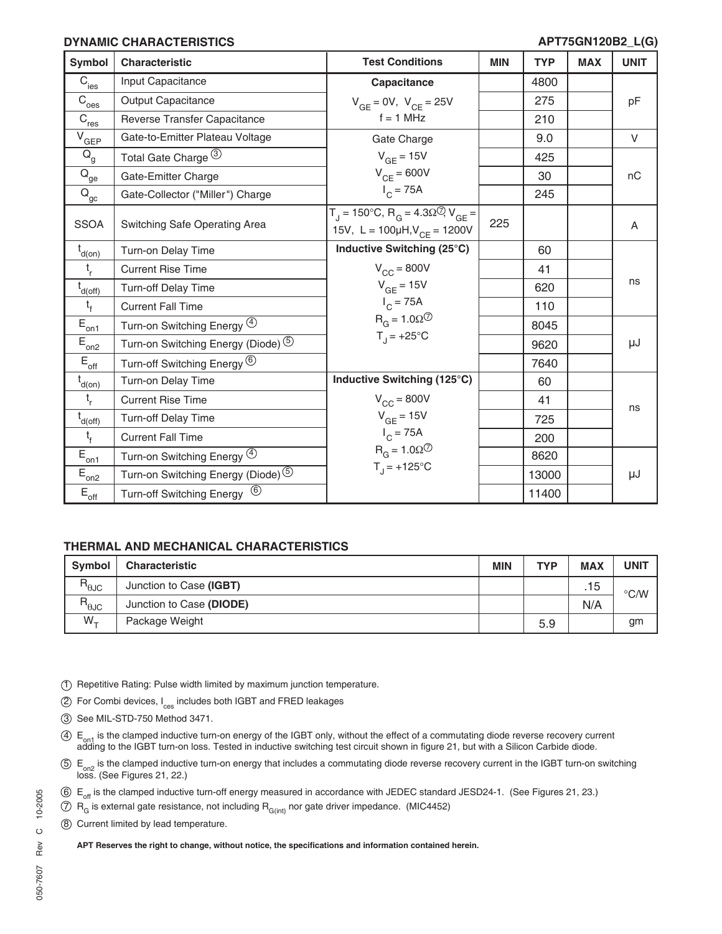### **DYNAMIC CHARACTERISTICS**

#### **APT75GN120B2\_L(G)**

| Symbol                                        | Characteristic                                    | <b>Test Conditions</b>                                                                                                                           | <b>MIN</b> | <b>TYP</b> | <b>MAX</b> | <b>UNIT</b> |
|-----------------------------------------------|---------------------------------------------------|--------------------------------------------------------------------------------------------------------------------------------------------------|------------|------------|------------|-------------|
| $\overline{C}_{\text{ies}}$                   | Input Capacitance                                 | Capacitance                                                                                                                                      |            | 4800       |            |             |
| $\overline{C}_{\underline{oes}}$              | <b>Output Capacitance</b>                         | $V_{GE} = 0V$ , $V_{CE} = 25V$                                                                                                                   |            | 275        |            | pF          |
| $\overline{C}_{\underline{res}}$              | Reverse Transfer Capacitance                      | $f = 1$ MHz                                                                                                                                      |            | 210        |            |             |
| $V_{GEP}$                                     | Gate-to-Emitter Plateau Voltage                   | Gate Charge                                                                                                                                      |            | 9.0        |            | V           |
| $Q_{q}$                                       | Total Gate Charge (3)                             | $V_{GF} = 15V$                                                                                                                                   |            | 425        |            |             |
| $\bar{\mathsf{Q}}_{\underline{\mathsf{ge}}}$  | Gate-Emitter Charge                               | $V_{CF} = 600V$                                                                                                                                  |            | 30         |            | nC          |
| $Q_{\underline{\underline{\mathrm{gc}}}}$     | Gate-Collector ("Miller") Charge                  | $I_C = 75A$                                                                                                                                      |            | 245        |            |             |
| <b>SSOA</b>                                   | Switching Safe Operating Area                     | $T_{\text{I}} = 150^{\circ} \text{C}, R_{\text{G}} = 4.3 \Omega^{\circ} \text{V}_{\text{GE}} =$<br>15V, L = $100\mu H$ , V <sub>CE</sub> = 1200V | 225        |            |            | A           |
| $t_{d(on)}$                                   | Turn-on Delay Time                                | Inductive Switching (25°C)                                                                                                                       |            | 60         |            |             |
| $t_{r}$                                       | <b>Current Rise Time</b>                          | $V_{CC}$ = 800V                                                                                                                                  |            | 41         |            |             |
| $t_{d(off)}$                                  | Turn-off Delay Time                               | $V_{GE}$ = 15V                                                                                                                                   |            | 620        |            | ns          |
| $t_f$                                         | <b>Current Fall Time</b>                          | $I_C = 75A$                                                                                                                                      |            | 110        |            |             |
| $\bar{\mathsf{E}}_{\underline{\mathsf{on1}}}$ | Turn-on Switching Energy 4                        | $R_G = 1.0 \Omega$ <sup>7</sup>                                                                                                                  |            | 8045       |            |             |
| $E_{on2}$                                     | Turn-on Switching Energy (Diode) 5                | $T_{\rm J}$ = +25°C                                                                                                                              |            | 9620       |            | μJ          |
| $\mathsf{E}_{\mathsf{off}}$                   | Turn-off Switching Energy <sup>(6)</sup>          |                                                                                                                                                  |            | 7640       |            |             |
| $t_{d(on)}$                                   | Turn-on Delay Time                                | Inductive Switching (125°C)                                                                                                                      |            | 60         |            |             |
| $t_{r}$                                       | <b>Current Rise Time</b>                          | $V_{CC}$ = 800V                                                                                                                                  |            | 41         |            | ns          |
| $t_{d(off)}$                                  | <b>Turn-off Delay Time</b>                        | $V_{GE}$ = 15V                                                                                                                                   |            | 725        |            |             |
| $t_{f}$                                       | <b>Current Fall Time</b>                          | $I_{C} = 75A$                                                                                                                                    |            | 200        |            |             |
| $\bar{E}_{\underline{on1}}$                   | Turn-on Switching Energy 4                        | $R_G = 1.0 \Omega$ <sup>7</sup>                                                                                                                  |            | 8620       |            |             |
| $E_{\underline{on2}}$                         | Turn-on Switching Energy (Diode) 5                | $T_{1}$ = +125°C                                                                                                                                 |            | 13000      |            | μJ          |
| $E_{\text{off}}$                              | $\circled{6}$<br><b>Turn-off Switching Energy</b> |                                                                                                                                                  |            | 11400      |            |             |

# **THERMAL AND MECHANICAL CHARACTERISTICS**

| <b>Symbol</b>                             | <b>Characteristic</b>    | <b>MIN</b> | <b>TYP</b> | <b>MAX</b> | UNIT          |
|-------------------------------------------|--------------------------|------------|------------|------------|---------------|
| $\mathsf{R}_{\theta\mathsf{J}\mathsf{C}}$ | Junction to Case (IGBT)  |            |            | .15        | $\degree$ C/W |
| $R_{\theta$ JC                            | Junction to Case (DIODE) |            |            | N/A        |               |
| $W_{+}$                                   | Package Weight           |            | 5.9        |            | gm            |

- 1 Repetitive Rating: Pulse width limited by maximum junction temperature.
- 2 For Combi devices, I<sub>ces</sub> includes both IGBT and FRED leakages
- 3 See MIL-STD-750 Method 3471.
- 4) E<sub>on1</sub> is the clamped inductive turn-on energy of the IGBT only, without the effect of a commutating diode reverse recovery current<br>adding to the IGBT turn-on loss. Tested in inductive switching test circuit shown in fi
- 5) E<sub>on2</sub> is the clamped inductive turn-on energy that includes a commutating diode reverse recovery current in the IGBT turn-on switching<br>loss. (See Figures 21, 22.)
- 6 E<sub>off</sub> is the clamped inductive turn-off energy measured in accordance with JEDEC standard JESD24-1. (See Figures 21, 23.)
- $\overline{7}$  R<sub>G</sub> is external gate resistance, not including R<sub>G(int)</sub> nor gate driver impedance. (MIC4452)
- 8 Current limited by lead temperature.

**APT Reserves the right to change, without notice, the specifications and information contained herein.**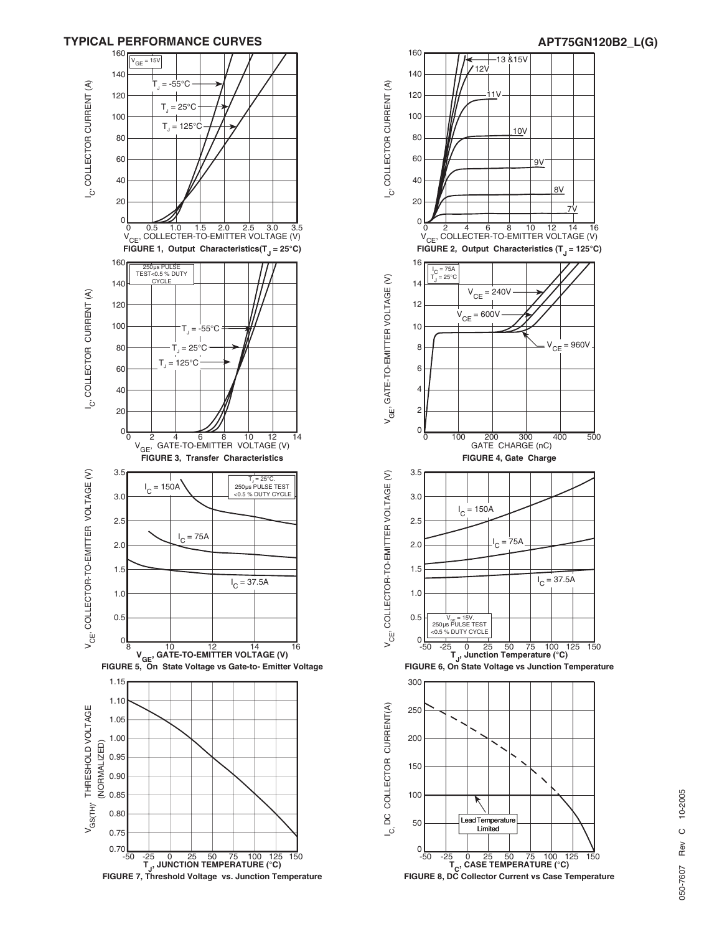



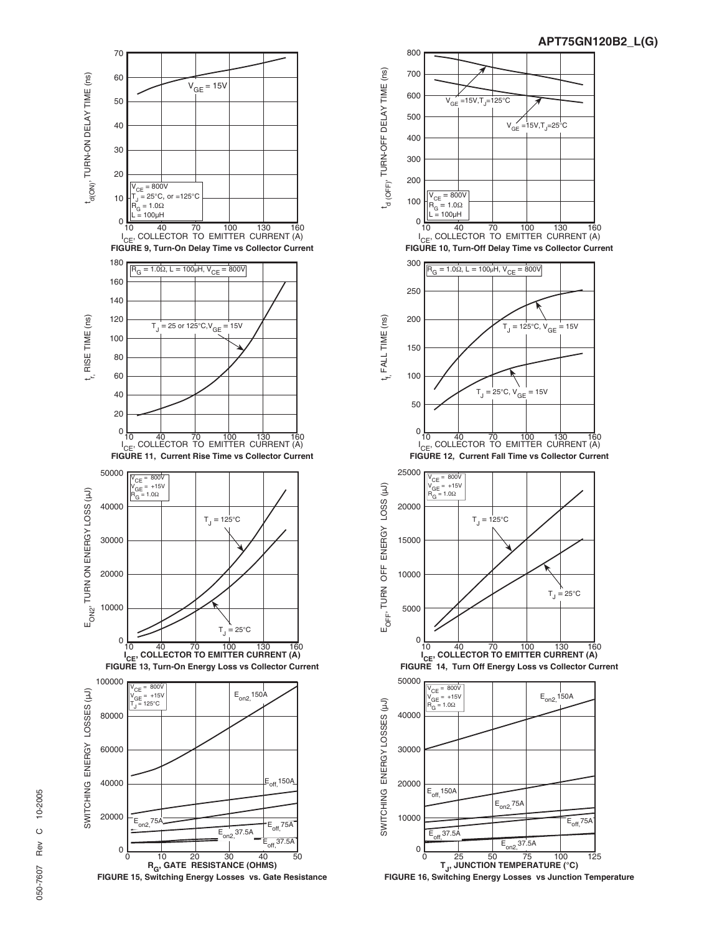



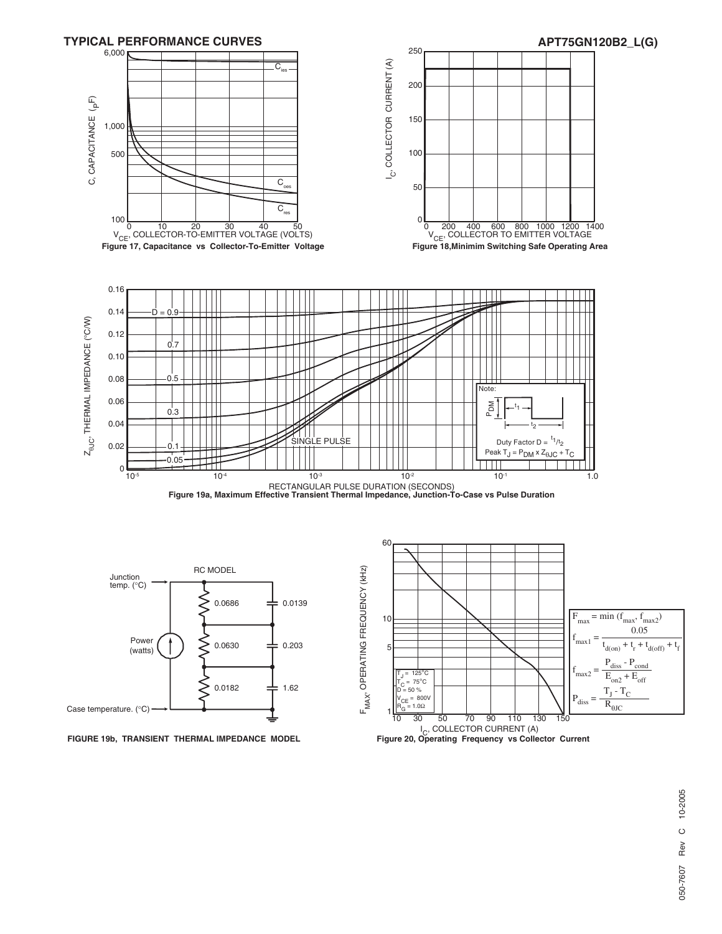